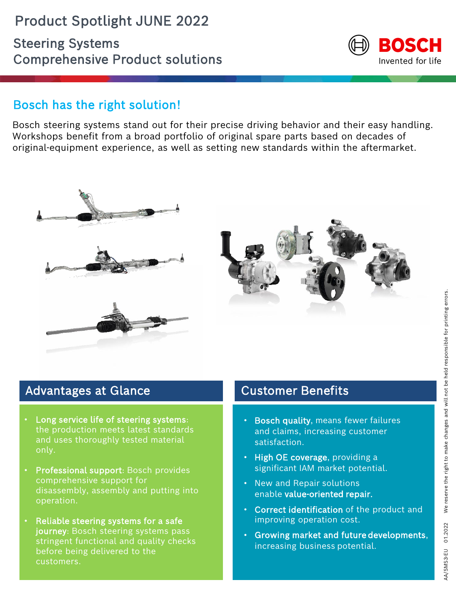

## Bosch has the right solution!

Bosch steering systems stand out for their precise driving behavior and their easy handling. Workshops benefit from a broad portfolio of original spare parts based on decades of original-equipment experience, as well as setting new standards within the aftermarket.





## Advantages at Glance

- Long service life of steering systems: the production meets latest standards and uses thoroughly tested material only.
- Professional support: Bosch provides comprehensive support for disassembly, assembly and putting into operation.
- Reliable steering systems for a safe journey: Bosch steering systems pass stringent functional and quality checks before being delivered to the customers.

#### Customer Benefits

- **Bosch quality, means fewer failures** and claims, increasing customer satisfaction.
- High OE coverage, providing a significant IAM market potential.
- New and Repair solutions enable value-oriented repair.
- Correct identification of the product and improving operation cost.
- Growing market and future developments, increasing business potential.